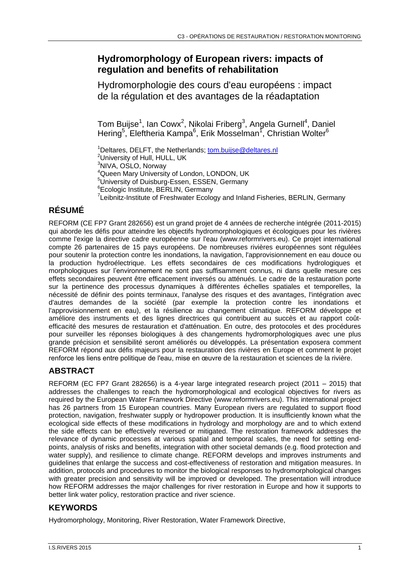## **Hydromorphology of European rivers: impacts of regulation and benefits of rehabilitation**

Hydromorphologie des cours d'eau européens : impact de la régulation et des avantages de la réadaptation

Tom Buijse<sup>1</sup>, Ian Cowx<sup>2</sup>, Nikolai Friberg<sup>3</sup>, Angela Gurnell<sup>4</sup>, Daniel Hering<sup>5</sup>, Eleftheria Kampa<sup>6</sup>, Erik Mosselman<sup>1</sup>, Christian Wolter<sup>6</sup>

<sup>1</sup>Deltares, DELFT, the Netherlands; [tom.buijse@deltares.nl](mailto:tom.buijse@deltares.nl) <sup>2</sup>University of Hull, HULL, UK <sup>3</sup>NIVA, OSLO, Norway <sup>4</sup>Queen Mary University of London, LONDON, UK <sup>5</sup>University of Duisburg-Essen, ESSEN, Germany <sup>6</sup>Ecologic Institute, BERLIN, Germany <sup>7</sup>Leibnitz-Institute of Freshwater Ecology and Inland Fisheries, BERLIN, Germany

# **RÉSUMÉ**

REFORM (CE FP7 Grant 282656) est un grand projet de 4 années de recherche intégrée (2011-2015) qui aborde les défis pour atteindre les objectifs hydromorphologiques et écologiques pour les rivières comme l'exige la directive cadre européenne sur l'eau (www.reformrivers.eu). Ce projet international compte 26 partenaires de 15 pays européens. De nombreuses rivières européennes sont régulées pour soutenir la protection contre les inondations, la navigation, l'approvisionnement en eau douce ou la production hydroélectrique. Les effets secondaires de ces modifications hydrologiques et morphologiques sur l'environnement ne sont pas suffisamment connus, ni dans quelle mesure ces effets secondaires peuvent être efficacement inversés ou atténués. Le cadre de la restauration porte sur la pertinence des processus dynamiques à différentes échelles spatiales et temporelles, la nécessité de définir des points terminaux, l'analyse des risques et des avantages, l'intégration avec d'autres demandes de la société (par exemple la protection contre les inondations et l'approvisionnement en eau), et la résilience au changement climatique. REFORM développe et améliore des instruments et des lignes directrices qui contribuent au succès et au rapport coûtefficacité des mesures de restauration et d'atténuation. En outre, des protocoles et des procédures pour surveiller les réponses biologiques à des changements hydromorphologiques avec une plus grande précision et sensibilité seront améliorés ou développés. La présentation exposera comment REFORM répond aux défis majeurs pour la restauration des rivières en Europe et comment le projet renforce les liens entre politique de l'eau, mise en œuvre de la restauration et sciences de la rivière.

## **ABSTRACT**

REFORM (EC FP7 Grant 282656) is a 4-year large integrated research project (2011 – 2015) that addresses the challenges to reach the hydromorphological and ecological objectives for rivers as required by the European Water Framework Directive (www.reformrivers.eu). This international project has 26 partners from 15 European countries. Many European rivers are regulated to support flood protection, navigation, freshwater supply or hydropower production. It is insufficiently known what the ecological side effects of these modifications in hydrology and morphology are and to which extend the side effects can be effectively reversed or mitigated. The restoration framework addresses the relevance of dynamic processes at various spatial and temporal scales, the need for setting endpoints, analysis of risks and benefits, integration with other societal demands (e.g. flood protection and water supply), and resilience to climate change. REFORM develops and improves instruments and guidelines that enlarge the success and cost-effectiveness of restoration and mitigation measures. In addition, protocols and procedures to monitor the biological responses to hydromorphological changes with greater precision and sensitivity will be improved or developed. The presentation will introduce how REFORM addresses the major challenges for river restoration in Europe and how it supports to better link water policy, restoration practice and river science.

## **KEYWORDS**

Hydromorphology, Monitoring, River Restoration, Water Framework Directive,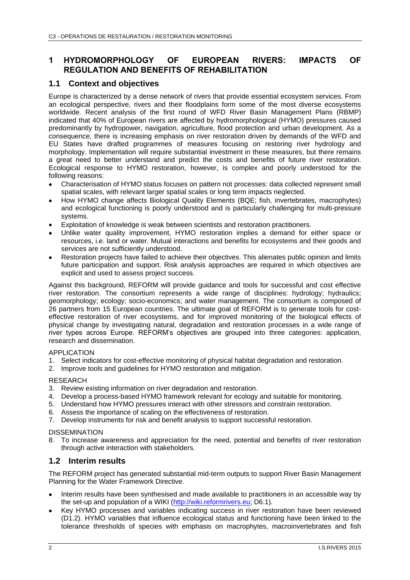## **1 HYDROMORPHOLOGY OF EUROPEAN RIVERS: IMPACTS OF REGULATION AND BENEFITS OF REHABILITATION**

### **1.1 Context and objectives**

Europe is characterized by a dense network of rivers that provide essential ecosystem services. From an ecological perspective, rivers and their floodplains form some of the most diverse ecosystems worldwide. Recent analysis of the first round of WFD River Basin Management Plans (RBMP) indicated that 40% of European rivers are affected by hydromorphological (HYMO) pressures caused predominantly by hydropower, navigation, agriculture, flood protection and urban development. As a consequence, there is increasing emphasis on river restoration driven by demands of the WFD and EU States have drafted programmes of measures focusing on restoring river hydrology and morphology. Implementation will require substantial investment in these measures, but there remains a great need to better understand and predict the costs and benefits of future river restoration. Ecological response to HYMO restoration, however, is complex and poorly understood for the following reasons:

- Characterisation of HYMO status focuses on pattern not processes: data collected represent small spatial scales, with relevant larger spatial scales or long term impacts neglected.
- How HYMO change affects Biological Quality Elements (BQE; fish, invertebrates, macrophytes) and ecological functioning is poorly understood and is particularly challenging for multi-pressure systems.
- Exploitation of knowledge is weak between scientists and restoration practitioners.
- Unlike water quality improvement, HYMO restoration implies a demand for either space or resources, i.e. land or water. Mutual interactions and benefits for ecosystems and their goods and services are not sufficiently understood.
- Restoration projects have failed to achieve their objectives. This alienates public opinion and limits future participation and support. Risk analysis approaches are required in which objectives are explicit and used to assess project success.

Against this background, REFORM will provide guidance and tools for successful and cost effective river restoration. The consortium represents a wide range of disciplines: hydrology; hydraulics; geomorphology; ecology; socio-economics; and water management. The consortium is composed of 26 partners from 15 European countries. The ultimate goal of REFORM is to generate tools for costeffective restoration of river ecosystems, and for improved monitoring of the biological effects of physical change by investigating natural, degradation and restoration processes in a wide range of river types across Europe. REFORM's objectives are grouped into three categories: application, research and dissemination.

#### APPLICATION

- 1. Select indicators for cost-effective monitoring of physical habitat degradation and restoration.
- 2. Improve tools and guidelines for HYMO restoration and mitigation.

#### RESEARCH

- 3. Review existing information on river degradation and restoration.
- 4. Develop a process-based HYMO framework relevant for ecology and suitable for monitoring.
- 5. Understand how HYMO pressures interact with other stressors and constrain restoration.
- 6. Assess the importance of scaling on the effectiveness of restoration.
- 7. Develop instruments for risk and benefit analysis to support successful restoration.

#### DISSEMINATION

8. To increase awareness and appreciation for the need, potential and benefits of river restoration through active interaction with stakeholders.

### **1.2 Interim results**

The REFORM project has generated substantial mid-term outputs to support River Basin Management Planning for the Water Framework Directive.

- Interim results have been synthesised and made available to practitioners in an accessible way by the set-up and population of a WIKI [\(http://wiki.reformrivers.eu;](http://wiki.reformrivers.eu/) D6.1).
- Key HYMO processes and variables indicating success in river restoration have been reviewed (D1.2). HYMO variables that influence ecological status and functioning have been linked to the tolerance thresholds of species with emphasis on macrophytes, macroinvertebrates and fish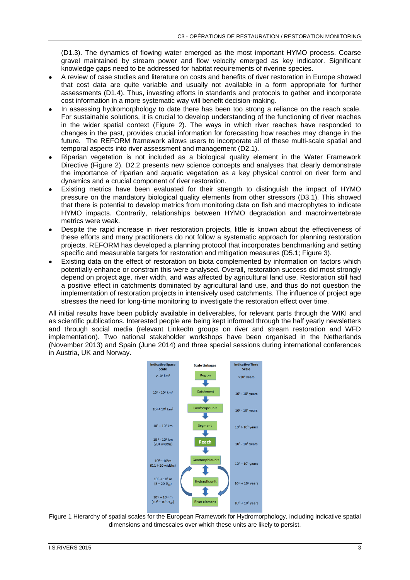(D1.3). The dynamics of flowing water emerged as the most important HYMO process. Coarse gravel maintained by stream power and flow velocity emerged as key indicator. Significant knowledge gaps need to be addressed for habitat requirements of riverine species.

- A review of case studies and literature on costs and benefits of river restoration in Europe showed that cost data are quite variable and usually not available in a form appropriate for further assessments (D1.4). Thus, investing efforts in standards and protocols to gather and incorporate cost information in a more systematic way will benefit decision-making.
- In assessing hydromorphology to date there has been too strong a reliance on the reach scale. For sustainable solutions, it is crucial to develop understanding of the functioning of river reaches in the wider spatial context [\(Figure 2\)](#page-3-0). The ways in which river reaches have responded to changes in the past, provides crucial information for forecasting how reaches may change in the future. The REFORM framework allows users to incorporate all of these multi-scale spatial and temporal aspects into river assessment and management (D2.1).
- Riparian vegetation is not included as a biological quality element in the Water Framework Directive [\(Figure 2\)](#page-3-0). D2.2 presents new science concepts and analyses that clearly demonstrate the importance of riparian and aquatic vegetation as a key physical control on river form and dynamics and a crucial component of river restoration.
- Existing metrics have been evaluated for their strength to distinguish the impact of HYMO pressure on the mandatory biological quality elements from other stressors (D3.1). This showed that there is potential to develop metrics from monitoring data on fish and macrophytes to indicate HYMO impacts. Contrarily, relationships between HYMO degradation and macroinvertebrate metrics were weak.
- Despite the rapid increase in river restoration projects, little is known about the effectiveness of these efforts and many practitioners do not follow a systematic approach for planning restoration projects. REFORM has developed a planning protocol that incorporates benchmarking and setting specific and measurable targets for restoration and mitigation measures (D5.1; [Figure 3\)](#page-3-1).
- Existing data on the effect of restoration on biota complemented by information on factors which potentially enhance or constrain this were analysed. Overall, restoration success did most strongly depend on project age, river width, and was affected by agricultural land use. Restoration still had a positive effect in catchments dominated by agricultural land use, and thus do not question the implementation of restoration projects in intensively used catchments. The influence of project age stresses the need for long-time monitoring to investigate the restoration effect over time.

All initial results have been publicly available in deliverables, for relevant parts through the WIKI and as scientific publications. Interested people are being kept informed through the half yearly newsletters and through social media (relevant LinkedIn groups on river and stream restoration and WFD implementation). Two national stakeholder workshops have been organised in the Netherlands (November 2013) and Spain (June 2014) and three special sessions during international conferences in Austria, UK and Norway.



Figure 1 Hierarchy of spatial scales for the European Framework for Hydromorphology, including indicative spatial dimensions and timescales over which these units are likely to persist.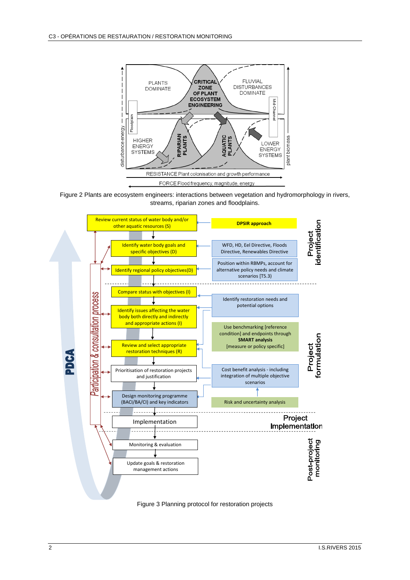

<span id="page-3-0"></span>



<span id="page-3-1"></span>Figure 3 Planning protocol for restoration projects